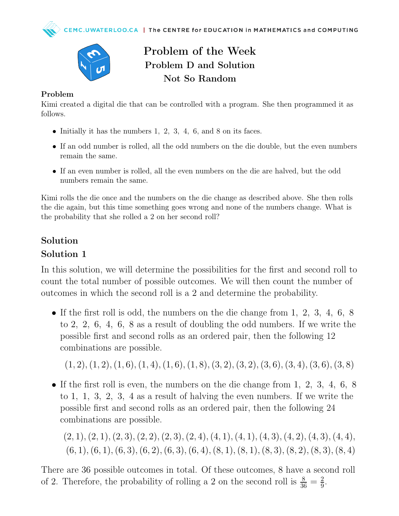

# Problem of the Week Problem D and Solution Not So Random

#### Problem

Kimi created a digital die that can be controlled with a program. She then programmed it as follows.

- Initially it has the numbers  $1, 2, 3, 4, 6$ , and  $8$  on its faces.
- If an odd number is rolled, all the odd numbers on the die double, but the even numbers remain the same.
- If an even number is rolled, all the even numbers on the die are halved, but the odd numbers remain the same.

Kimi rolls the die once and the numbers on the die change as described above. She then rolls the die again, but this time something goes wrong and none of the numbers change. What is the probability that she rolled a 2 on her second roll?

#### Solution

### Solution 1

In this solution, we will determine the possibilities for the first and second roll to count the total number of possible outcomes. We will then count the number of outcomes in which the second roll is a 2 and determine the probability.

• If the first roll is odd, the numbers on the die change from 1, 2, 3, 4, 6, 8 to 2, 2, 6, 4, 6, 8 as a result of doubling the odd numbers. If we write the possible first and second rolls as an ordered pair, then the following 12 combinations are possible.

 $(1, 2), (1, 2), (1, 6), (1, 4), (1, 6), (1, 8), (3, 2), (3, 2), (3, 6), (3, 4), (3, 6), (3, 8)$ 

• If the first roll is even, the numbers on the die change from 1, 2, 3, 4, 6, 8 to 1, 1, 3, 2, 3, 4 as a result of halving the even numbers. If we write the possible first and second rolls as an ordered pair, then the following 24 combinations are possible.

 $(2, 1), (2, 1), (2, 3), (2, 2), (2, 3), (2, 4), (4, 1), (4, 1), (4, 3), (4, 2), (4, 3), (4, 4),$  $(6, 1), (6, 1), (6, 3), (6, 2), (6, 3), (6, 4), (8, 1), (8, 1), (8, 3), (8, 2), (8, 3), (8, 4)$ 

There are 36 possible outcomes in total. Of these outcomes, 8 have a second roll of 2. Therefore, the probability of rolling a 2 on the second roll is  $\frac{8}{36} = \frac{2}{9}$  $\frac{2}{9}$ .